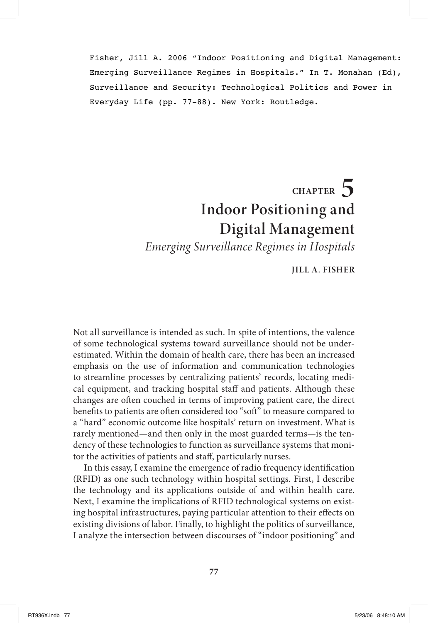Fisher, Jill A. 2006 "Indoor Positioning and Digital Management: Emerging Surveillance Regimes in Hospitals." In T. Monahan (Ed), Surveillance and Security: Technological Politics and Power in Everyday Life (pp. 77-88). New York: Routledge.

# **CHAPTER 5 Indoor Positioning and Digital Management**

Emerging Surveillance Regimes in Hospitals

**JILL A. FISHER**

Not all surveillance is intended as such. In spite of intentions, the valence of some technological systems toward surveillance should not be underestimated. Within the domain of health care, there has been an increased emphasis on the use of information and communication technologies to streamline processes by centralizing patients' records, locating medical equipment, and tracking hospital staff and patients. Although these changes are often couched in terms of improving patient care, the direct benefits to patients are often considered too "soft" to measure compared to a "hard" economic outcome like hospitals' return on investment. What is rarely mentioned—and then only in the most guarded terms—is the tendency of these technologies to function as surveillance systems that monitor the activities of patients and staff, particularly nurses.

In this essay, I examine the emergence of radio frequency identification (RFID) as one such technology within hospital settings. First, I describe the technology and its applications outside of and within health care. Next, I examine the implications of RFID technological systems on existing hospital infrastructures, paying particular attention to their effects on existing divisions of labor. Finally, to highlight the politics of surveillance, I analyze the intersection between discourses of "indoor positioning" and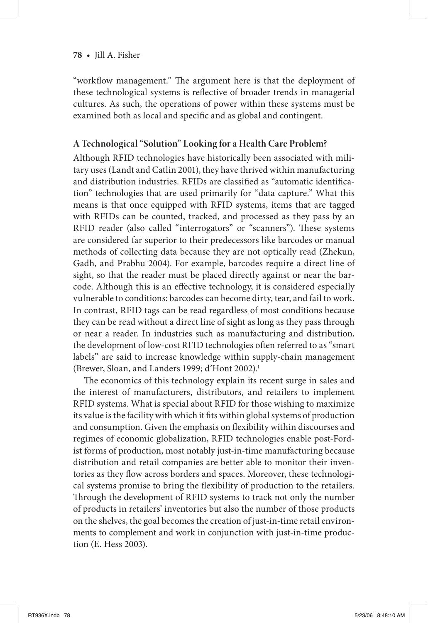"workflow management." The argument here is that the deployment of these technological systems is reflective of broader trends in managerial cultures. As such, the operations of power within these systems must be examined both as local and specific and as global and contingent.

# **A Technological "Solution" Looking for a Health Care Problem?**

Although RFID technologies have historically been associated with military uses (Landt and Catlin 2001), they have thrived within manufacturing and distribution industries. RFIDs are classified as "automatic identification" technologies that are used primarily for "data capture." What this means is that once equipped with RFID systems, items that are tagged with RFIDs can be counted, tracked, and processed as they pass by an RFID reader (also called "interrogators" or "scanners"). These systems are considered far superior to their predecessors like barcodes or manual methods of collecting data because they are not optically read (Zhekun, Gadh, and Prabhu 2004). For example, barcodes require a direct line of sight, so that the reader must be placed directly against or near the barcode. Although this is an effective technology, it is considered especially vulnerable to conditions: barcodes can become dirty, tear, and fail to work. In contrast, RFID tags can be read regardless of most conditions because they can be read without a direct line of sight as long as they pass through or near a reader. In industries such as manufacturing and distribution, the development of low-cost RFID technologies often referred to as "smart labels" are said to increase knowledge within supply-chain management (Brewer, Sloan, and Landers 1999; d'Hont 2002).<sup>1</sup>

The economics of this technology explain its recent surge in sales and the interest of manufacturers, distributors, and retailers to implement RFID systems. What is special about RFID for those wishing to maximize its value is the facility with which it fits within global systems of production and consumption. Given the emphasis on flexibility within discourses and regimes of economic globalization, RFID technologies enable post-Fordist forms of production, most notably just-in-time manufacturing because distribution and retail companies are better able to monitor their inventories as they flow across borders and spaces. Moreover, these technological systems promise to bring the flexibility of production to the retailers. Through the development of RFID systems to track not only the number of products in retailers' inventories but also the number of those products on the shelves, the goal becomes the creation of just-in-time retail environments to complement and work in conjunction with just-in-time production (E. Hess 2003).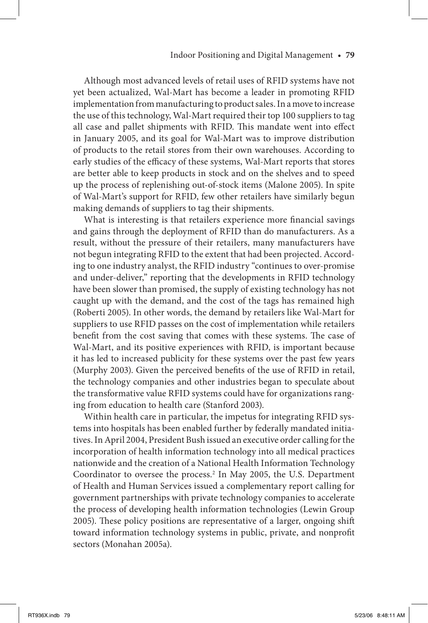Although most advanced levels of retail uses of RFID systems have not yet been actualized, Wal-Mart has become a leader in promoting RFID implementation from manufacturing to product sales. In a move to increase the use of this technology, Wal-Mart required their top 100 suppliers to tag all case and pallet shipments with RFID. This mandate went into effect in January 2005, and its goal for Wal-Mart was to improve distribution of products to the retail stores from their own warehouses. According to early studies of the efficacy of these systems, Wal-Mart reports that stores are better able to keep products in stock and on the shelves and to speed up the process of replenishing out-of-stock items (Malone 2005). In spite of Wal-Mart's support for RFID, few other retailers have similarly begun making demands of suppliers to tag their shipments.

What is interesting is that retailers experience more financial savings and gains through the deployment of RFID than do manufacturers. As a result, without the pressure of their retailers, many manufacturers have not begun integrating RFID to the extent that had been projected. According to one industry analyst, the RFID industry "continues to over-promise and under-deliver," reporting that the developments in RFID technology have been slower than promised, the supply of existing technology has not caught up with the demand, and the cost of the tags has remained high (Roberti 2005). In other words, the demand by retailers like Wal-Mart for suppliers to use RFID passes on the cost of implementation while retailers benefit from the cost saving that comes with these systems. The case of Wal-Mart, and its positive experiences with RFID, is important because it has led to increased publicity for these systems over the past few years (Murphy 2003). Given the perceived benefits of the use of RFID in retail, the technology companies and other industries began to speculate about the transformative value RFID systems could have for organizations ranging from education to health care (Stanford 2003).

Within health care in particular, the impetus for integrating RFID systems into hospitals has been enabled further by federally mandated initiatives. In April 2004, President Bush issued an executive order calling for the incorporation of health information technology into all medical practices nationwide and the creation of a National Health Information Technology Coordinator to oversee the process.<sup>2</sup> In May 2005, the U.S. Department of Health and Human Services issued a complementary report calling for government partnerships with private technology companies to accelerate the process of developing health information technologies (Lewin Group 2005). These policy positions are representative of a larger, ongoing shift toward information technology systems in public, private, and nonprofit sectors (Monahan 2005a).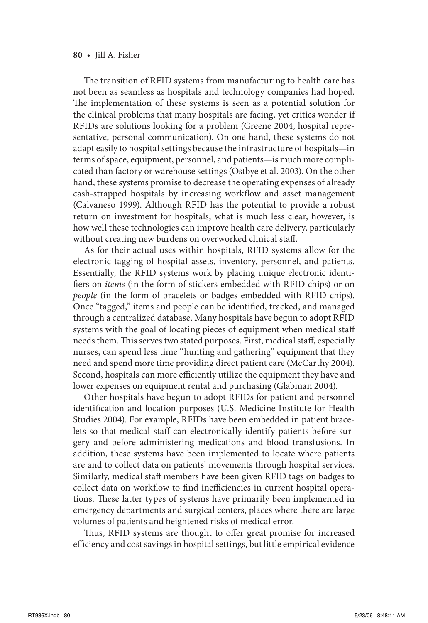The transition of RFID systems from manufacturing to health care has not been as seamless as hospitals and technology companies had hoped. The implementation of these systems is seen as a potential solution for the clinical problems that many hospitals are facing, yet critics wonder if RFIDs are solutions looking for a problem (Greene 2004, hospital representative, personal communication). On one hand, these systems do not adapt easily to hospital settings because the infrastructure of hospitals—in terms of space, equipment, personnel, and patients—is much more complicated than factory or warehouse settings (Ostbye et al. 2003). On the other hand, these systems promise to decrease the operating expenses of already cash-strapped hospitals by increasing workflow and asset management (Calvaneso 1999). Although RFID has the potential to provide a robust return on investment for hospitals, what is much less clear, however, is how well these technologies can improve health care delivery, particularly without creating new burdens on overworked clinical staff.

As for their actual uses within hospitals, RFID systems allow for the electronic tagging of hospital assets, inventory, personnel, and patients. Essentially, the RFID systems work by placing unique electronic identi fiers on *items* (in the form of stickers embedded with RFID chips) or on people (in the form of bracelets or badges embedded with RFID chips). Once "tagged," items and people can be identified, tracked, and managed through a centralized database. Many hospitals have begun to adopt RFID systems with the goal of locating pieces of equipment when medical staff needs them. This serves two stated purposes. First, medical staff, especially nurses, can spend less time "hunting and gathering" equipment that they need and spend more time providing direct patient care (McCarthy 2004). Second, hospitals can more efficiently utilize the equipment they have and lower expenses on equipment rental and purchasing (Glabman 2004).

Other hospitals have begun to adopt RFIDs for patient and personnel identification and location purposes (U.S. Medicine Institute for Health Studies 2004). For example, RFIDs have been embedded in patient bracelets so that medical staff can electronically identify patients before surgery and before administering medications and blood transfusions. In addition, these systems have been implemented to locate where patients are and to collect data on patients' movements through hospital services. Similarly, medical staff members have been given RFID tags on badges to collect data on workflow to find inefficiencies in current hospital operations. These latter types of systems have primarily been implemented in emergency departments and surgical centers, places where there are large volumes of patients and heightened risks of medical error.

Thus, RFID systems are thought to offer great promise for increased efficiency and cost savings in hospital settings, but little empirical evidence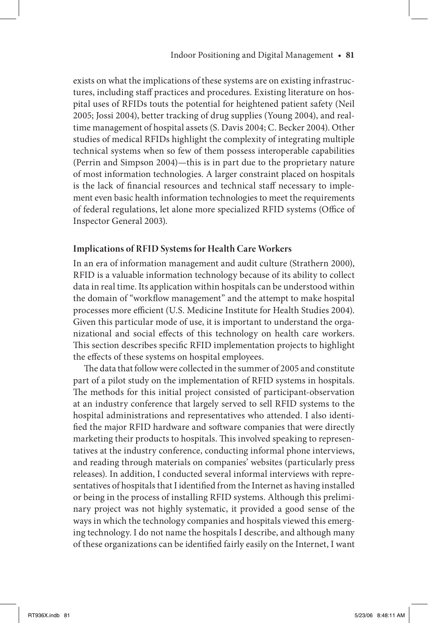exists on what the implications of these systems are on existing infrastructures, including staff practices and procedures. Existing literature on hospital uses of RFIDs touts the potential for heightened patient safety (Neil 2005; Jossi 2004), better tracking of drug supplies (Young 2004), and realtime management of hospital assets (S. Davis 2004; C. Becker 2004). Other studies of medical RFIDs highlight the complexity of integrating multiple technical systems when so few of them possess interoperable capabilities (Perrin and Simpson 2004)—this is in part due to the proprietary nature of most information technologies. A larger constraint placed on hospitals is the lack of financial resources and technical staff necessary to implement even basic health information technologies to meet the requirements of federal regulations, let alone more specialized RFID systems (Office of Inspector General 2003).

# **Implications of RFID Systems for Health Care Workers**

In an era of information management and audit culture (Strathern 2000), RFID is a valuable information technology because of its ability to collect data in real time. Its application within hospitals can be understood within the domain of "workflow management" and the attempt to make hospital processes more efficient (U.S. Medicine Institute for Health Studies 2004). Given this particular mode of use, it is important to understand the organizational and social effects of this technology on health care workers. This section describes specific RFID implementation projects to highlight the effects of these systems on hospital employees.

The data that follow were collected in the summer of 2005 and constitute part of a pilot study on the implementation of RFID systems in hospitals. The methods for this initial project consisted of participant-observation at an industry conference that largely served to sell RFID systems to the hospital administrations and representatives who attended. I also identi fied the major RFID hardware and software companies that were directly marketing their products to hospitals. This involved speaking to representatives at the industry conference, conducting informal phone interviews, and reading through materials on companies' websites (particularly press releases). In addition, I conducted several informal interviews with representatives of hospitals that I identified from the Internet as having installed or being in the process of installing RFID systems. Although this preliminary project was not highly systematic, it provided a good sense of the ways in which the technology companies and hospitals viewed this emerging technology. I do not name the hospitals I describe, and although many of these organizations can be identified fairly easily on the Internet, I want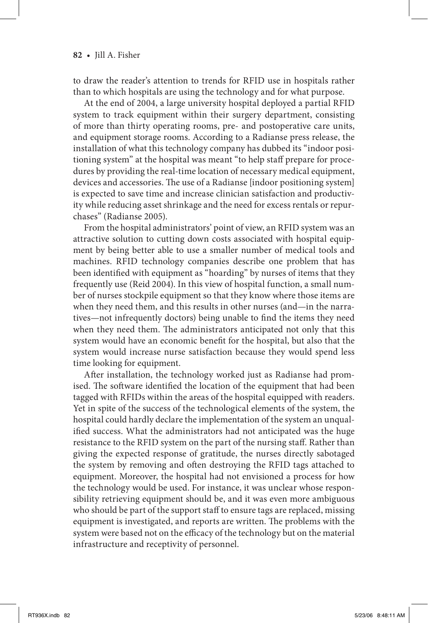to draw the reader's attention to trends for RFID use in hospitals rather than to which hospitals are using the technology and for what purpose.

At the end of 2004, a large university hospital deployed a partial RFID system to track equipment within their surgery department, consisting of more than thirty operating rooms, pre- and postoperative care units, and equipment storage rooms. According to a Radianse press release, the installation of what this technology company has dubbed its "indoor positioning system" at the hospital was meant "to help staff prepare for procedures by providing the real-time location of necessary medical equipment, devices and accessories. The use of a Radianse [indoor positioning system] is expected to save time and increase clinician satisfaction and productivity while reducing asset shrinkage and the need for excess rentals or repurchases" (Radianse 2005).

From the hospital administrators' point of view, an RFID system was an attractive solution to cutting down costs associated with hospital equipment by being better able to use a smaller number of medical tools and machines. RFID technology companies describe one problem that has been identified with equipment as "hoarding" by nurses of items that they frequently use (Reid 2004). In this view of hospital function, a small number of nurses stockpile equipment so that they know where those items are when they need them, and this results in other nurses (and—in the narratives—not infrequently doctors) being unable to find the items they need when they need them. The administrators anticipated not only that this system would have an economic benefit for the hospital, but also that the system would increase nurse satisfaction because they would spend less time looking for equipment.

After installation, the technology worked just as Radianse had promised. The software identified the location of the equipment that had been tagged with RFIDs within the areas of the hospital equipped with readers. Yet in spite of the success of the technological elements of the system, the hospital could hardly declare the implementation of the system an unqualified success. What the administrators had not anticipated was the huge resistance to the RFID system on the part of the nursing staff. Rather than giving the expected response of gratitude, the nurses directly sabotaged the system by removing and often destroying the RFID tags attached to equipment. Moreover, the hospital had not envisioned a process for how the technology would be used. For instance, it was unclear whose responsibility retrieving equipment should be, and it was even more ambiguous who should be part of the support staff to ensure tags are replaced, missing equipment is investigated, and reports are written. The problems with the system were based not on the efficacy of the technology but on the material infrastructure and receptivity of personnel.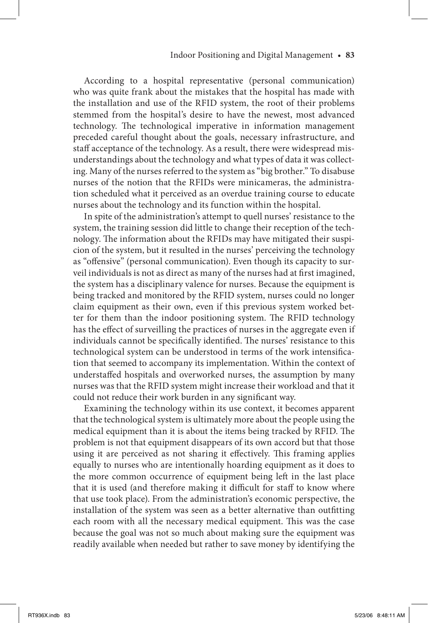#### Indoor Positioning and Digital Management • **83**

According to a hospital representative (personal communication) who was quite frank about the mistakes that the hospital has made with the installation and use of the RFID system, the root of their problems stemmed from the hospital's desire to have the newest, most advanced technology. The technological imperative in information management preceded careful thought about the goals, necessary infrastructure, and staff acceptance of the technology. As a result, there were widespread misunderstandings about the technology and what types of data it was collecting. Many of the nurses referred to the system as "big brother." To disabuse nurses of the notion that the RFIDs were minicameras, the administration scheduled what it perceived as an overdue training course to educate nurses about the technology and its function within the hospital.

In spite of the administration's attempt to quell nurses' resistance to the system, the training session did little to change their reception of the technology. The information about the RFIDs may have mitigated their suspicion of the system, but it resulted in the nurses' perceiving the technology as "offensive" (personal communication). Even though its capacity to surveil individuals is not as direct as many of the nurses had at first imagined, the system has a disciplinary valence for nurses. Because the equipment is being tracked and monitored by the RFID system, nurses could no longer claim equipment as their own, even if this previous system worked better for them than the indoor positioning system. The RFID technology has the effect of surveilling the practices of nurses in the aggregate even if individuals cannot be specifically identified. The nurses' resistance to this technological system can be understood in terms of the work intensification that seemed to accompany its implementation. Within the context of understaffed hospitals and overworked nurses, the assumption by many nurses was that the RFID system might increase their workload and that it could not reduce their work burden in any significant way.

Examining the technology within its use context, it becomes apparent that the technological system is ultimately more about the people using the medical equipment than it is about the items being tracked by RFID. The problem is not that equipment disappears of its own accord but that those using it are perceived as not sharing it effectively. This framing applies equally to nurses who are intentionally hoarding equipment as it does to the more common occurrence of equipment being left in the last place that it is used (and therefore making it difficult for staff to know where that use took place). From the administration's economic perspective, the installation of the system was seen as a better alternative than outfitting each room with all the necessary medical equipment. This was the case because the goal was not so much about making sure the equipment was readily available when needed but rather to save money by identifying the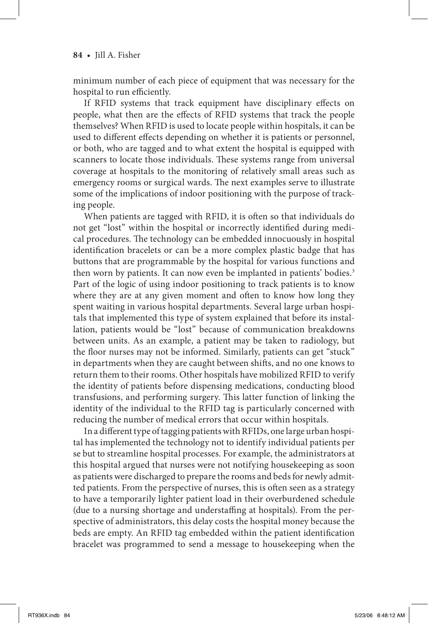minimum number of each piece of equipment that was necessary for the hospital to run efficiently.

If RFID systems that track equipment have disciplinary effects on people, what then are the effects of RFID systems that track the people themselves? When RFID is used to locate people within hospitals, it can be used to different effects depending on whether it is patients or personnel, or both, who are tagged and to what extent the hospital is equipped with scanners to locate those individuals. These systems range from universal coverage at hospitals to the monitoring of relatively small areas such as emergency rooms or surgical wards. The next examples serve to illustrate some of the implications of indoor positioning with the purpose of tracking people.

When patients are tagged with RFID, it is often so that individuals do not get "lost" within the hospital or incorrectly identified during medical procedures. The technology can be embedded innocuously in hospital identification bracelets or can be a more complex plastic badge that has buttons that are programmable by the hospital for various functions and then worn by patients. It can now even be implanted in patients' bodies.<sup>3</sup> Part of the logic of using indoor positioning to track patients is to know where they are at any given moment and often to know how long they spent waiting in various hospital departments. Several large urban hospitals that implemented this type of system explained that before its installation, patients would be "lost" because of communication breakdowns between units. As an example, a patient may be taken to radiology, but the floor nurses may not be informed. Similarly, patients can get "stuck" in departments when they are caught between shifts, and no one knows to return them to their rooms. Other hospitals have mobilized RFID to verify the identity of patients before dispensing medications, conducting blood transfusions, and performing surgery. This latter function of linking the identity of the individual to the RFID tag is particularly concerned with reducing the number of medical errors that occur within hospitals.

In a different type of tagging patients with RFIDs, one large urban hospital has implemented the technology not to identify individual patients per se but to streamline hospital processes. For example, the administrators at this hospital argued that nurses were not notifying housekeeping as soon as patients were discharged to prepare the rooms and beds for newly admitted patients. From the perspective of nurses, this is often seen as a strategy to have a temporarily lighter patient load in their overburdened schedule (due to a nursing shortage and understaffing at hospitals). From the perspective of administrators, this delay costs the hospital money because the beds are empty. An RFID tag embedded within the patient identification bracelet was programmed to send a message to housekeeping when the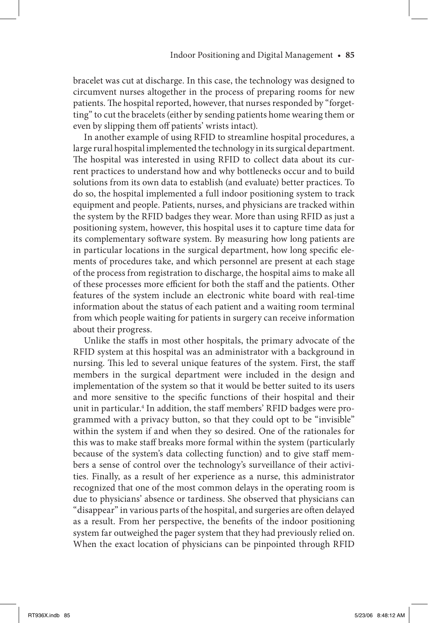bracelet was cut at discharge. In this case, the technology was designed to circumvent nurses altogether in the process of preparing rooms for new patients. The hospital reported, however, that nurses responded by "forgetting" to cut the bracelets (either by sending patients home wearing them or even by slipping them off patients' wrists intact).

In another example of using RFID to streamline hospital procedures, a large rural hospital implemented the technology in its surgical department. The hospital was interested in using RFID to collect data about its current practices to understand how and why bottlenecks occur and to build solutions from its own data to establish (and evaluate) better practices. To do so, the hospital implemented a full indoor positioning system to track equipment and people. Patients, nurses, and physicians are tracked within the system by the RFID badges they wear. More than using RFID as just a positioning system, however, this hospital uses it to capture time data for its complementary software system. By measuring how long patients are in particular locations in the surgical department, how long specific elements of procedures take, and which personnel are present at each stage of the process from registration to discharge, the hospital aims to make all of these processes more efficient for both the staff and the patients. Other features of the system include an electronic white board with real-time information about the status of each patient and a waiting room terminal from which people waiting for patients in surgery can receive information about their progress.

Unlike the staffs in most other hospitals, the primary advocate of the RFID system at this hospital was an administrator with a background in nursing. This led to several unique features of the system. First, the staff members in the surgical department were included in the design and implementation of the system so that it would be better suited to its users and more sensitive to the specific functions of their hospital and their unit in particular.<sup>4</sup> In addition, the staff members' RFID badges were programmed with a privacy button, so that they could opt to be "invisible" within the system if and when they so desired. One of the rationales for this was to make staff breaks more formal within the system (particularly because of the system's data collecting function) and to give staff members a sense of control over the technology's surveillance of their activities. Finally, as a result of her experience as a nurse, this administrator recognized that one of the most common delays in the operating room is due to physicians' absence or tardiness. She observed that physicians can "disappear" in various parts of the hospital, and surgeries are often delayed as a result. From her perspective, the benefits of the indoor positioning system far outweighed the pager system that they had previously relied on. When the exact location of physicians can be pinpointed through RFID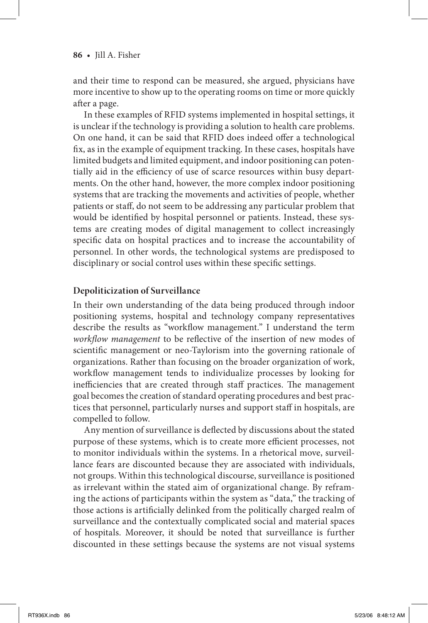and their time to respond can be measured, she argued, physicians have more incentive to show up to the operating rooms on time or more quickly after a page.

In these examples of RFID systems implemented in hospital settings, it is unclear if the technology is providing a solution to health care problems. On one hand, it can be said that RFID does indeed offer a technological fix, as in the example of equipment tracking. In these cases, hospitals have limited budgets and limited equipment, and indoor positioning can potentially aid in the efficiency of use of scarce resources within busy departments. On the other hand, however, the more complex indoor positioning systems that are tracking the movements and activities of people, whether patients or staff, do not seem to be addressing any particular problem that would be identified by hospital personnel or patients. Instead, these systems are creating modes of digital management to collect increasingly specific data on hospital practices and to increase the accountability of personnel. In other words, the technological systems are predisposed to disciplinary or social control uses within these specific settings.

## **Depoliticization of Surveillance**

In their own understanding of the data being produced through indoor positioning systems, hospital and technology company representatives describe the results as "workflow management." I understand the term workflow management to be reflective of the insertion of new modes of scientific management or neo-Taylorism into the governing rationale of organizations. Rather than focusing on the broader organization of work, workflow management tends to individualize processes by looking for inefficiencies that are created through staff practices. The management goal becomes the creation of standard operating procedures and best practices that personnel, particularly nurses and support staff in hospitals, are compelled to follow.

Any mention of surveillance is deflected by discussions about the stated purpose of these systems, which is to create more efficient processes, not to monitor individuals within the systems. In a rhetorical move, surveillance fears are discounted because they are associated with individuals, not groups. Within this technological discourse, surveillance is positioned as irrelevant within the stated aim of organizational change. By reframing the actions of participants within the system as "data," the tracking of those actions is artificially delinked from the politically charged realm of surveillance and the contextually complicated social and material spaces of hospitals. Moreover, it should be noted that surveillance is further discounted in these settings because the systems are not visual systems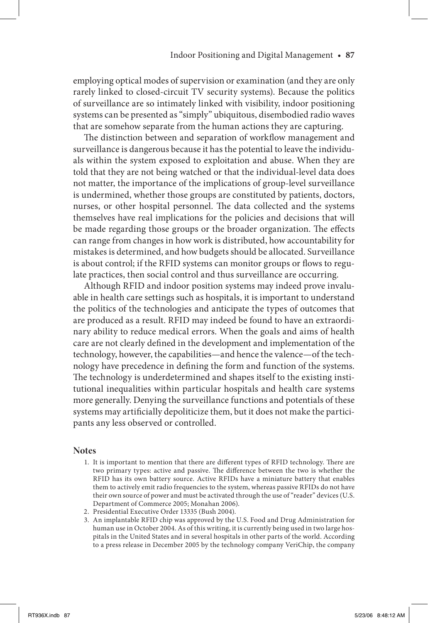employing optical modes of supervision or examination (and they are only rarely linked to closed-circuit TV security systems). Because the politics of surveillance are so intimately linked with visibility, indoor positioning systems can be presented as "simply" ubiquitous, disembodied radio waves that are somehow separate from the human actions they are capturing.

The distinction between and separation of workflow management and surveillance is dangerous because it has the potential to leave the individuals within the system exposed to exploitation and abuse. When they are told that they are not being watched or that the individual-level data does not matter, the importance of the implications of group-level surveillance is undermined, whether those groups are constituted by patients, doctors, nurses, or other hospital personnel. The data collected and the systems themselves have real implications for the policies and decisions that will be made regarding those groups or the broader organization. The effects can range from changes in how work is distributed, how accountability for mistakes is determined, and how budgets should be allocated. Surveillance is about control; if the RFID systems can monitor groups or flows to regulate practices, then social control and thus surveillance are occurring.

Although RFID and indoor position systems may indeed prove invaluable in health care settings such as hospitals, it is important to understand the politics of the technologies and anticipate the types of outcomes that are produced as a result. RFID may indeed be found to have an extraordinary ability to reduce medical errors. When the goals and aims of health care are not clearly defined in the development and implementation of the technology, however, the capabilities—and hence the valence—of the technology have precedence in defining the form and function of the systems. The technology is underdetermined and shapes itself to the existing institutional inequalities within particular hospitals and health care systems more generally. Denying the surveillance functions and potentials of these systems may artificially depoliticize them, but it does not make the participants any less observed or controlled.

#### **Notes**

- 1. It is important to mention that there are different types of RFID technology. There are two primary types: active and passive. The difference between the two is whether the RFID has its own battery source. Active RFIDs have a miniature battery that enables them to actively emit radio frequencies to the system, whereas passive RFIDs do not have their own source of power and must be activated through the use of "reader" devices (U.S. Department of Commerce 2005; Monahan 2006).
- 2. Presidential Executive Order 13335 (Bush 2004).
- 3. An implantable RFID chip was approved by the U.S. Food and Drug Administration for human use in October 2004. As of this writing, it is currently being used in two large hospitals in the United States and in several hospitals in other parts of the world. According to a press release in December 2005 by the technology company VeriChip, the company